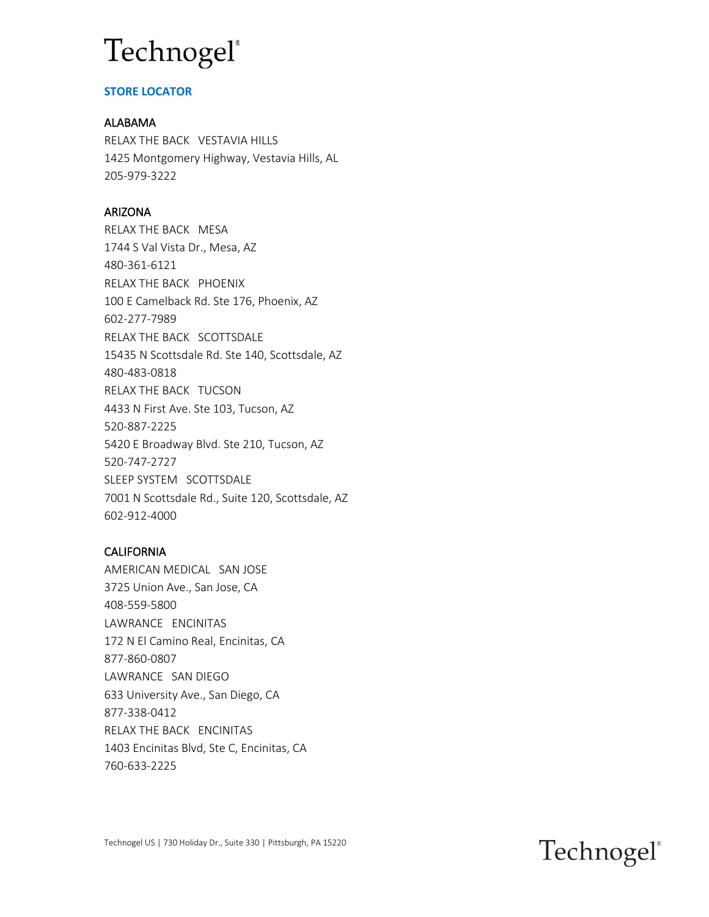### **STORE LOCATOR**

#### ALABAMA

RELAX THE BACK VESTAVIA HILLS 1425 Montgomery Highway, Vestavia Hills, AL 205-979-3222

### ARIZONA

RELAX THE BACK MESA 1744 S Val Vista Dr., Mesa, AZ 480-361-6121 RELAX THE BACK PHOENIX 100 E Camelback Rd. Ste 176, Phoenix, AZ 602-277-7989 RELAX THE BACK SCOTTSDALE 15435 N Scottsdale Rd. Ste 140, Scottsdale, AZ 480-483-0818 RELAX THE BACK TUCSON 4433 N First Ave. Ste 103, Tucson, AZ 520-887-2225 5420 E Broadway Blvd. Ste 210, Tucson, AZ 520-747-2727 SLEEP SYSTEM SCOTTSDALE 7001 N Scottsdale Rd., Suite 120, Scottsdale, AZ 602-912-4000

### CALIFORNIA

AMERICAN MEDICAL SAN JOSE 3725 Union Ave., San Jose, CA 408-559-5800 LAWRANCE ENCINITAS 172 N El Camino Real, Encinitas, CA 877-860-0807 LAWRANCE SAN DIEGO 633 University Ave., San Diego, CA 877-338-0412 RELAX THE BACK ENCINITAS 1403 Encinitas Blvd, Ste C, Encinitas, CA 760-633-2225

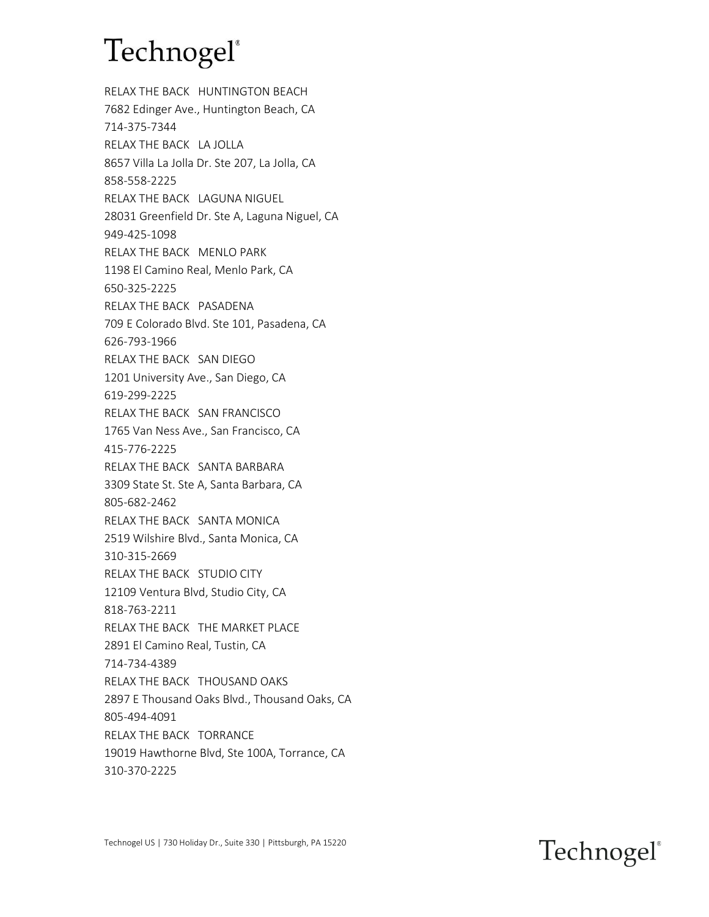RELAX THE BACK HUNTINGTON BEACH 7682 Edinger Ave., Huntington Beach, CA 714-375-7344 RELAX THE BACK LA JOLLA 8657 Villa La Jolla Dr. Ste 207, La Jolla, CA 858-558-2225 RELAX THE BACK LAGUNA NIGUEL 28031 Greenfield Dr. Ste A, Laguna Niguel, CA 949-425-1098 RELAX THE BACK MENLO PARK 1198 El Camino Real, Menlo Park, CA 650-325-2225 RELAX THE BACK PASADENA 709 E Colorado Blvd. Ste 101, Pasadena, CA 626-793-1966 RELAX THE BACK SAN DIEGO 1201 University Ave., San Diego, CA 619-299-2225 RELAX THE BACK SAN FRANCISCO 1765 Van Ness Ave., San Francisco, CA 415-776-2225 RELAX THE BACK SANTA BARBARA 3309 State St. Ste A, Santa Barbara, CA 805-682-2462 RELAX THE BACK SANTA MONICA 2519 Wilshire Blvd., Santa Monica, CA 310-315-2669 RELAX THE BACK STUDIO CITY 12109 Ventura Blvd, Studio City, CA 818-763-2211 RELAX THE BACK THE MARKET PLACE 2891 El Camino Real, Tustin, CA 714-734-4389 RELAX THE BACK THOUSAND OAKS 2897 E Thousand Oaks Blvd., Thousand Oaks, CA 805-494-4091 RELAX THE BACK TORRANCE 19019 Hawthorne Blvd, Ste 100A, Torrance, CA 310-370-2225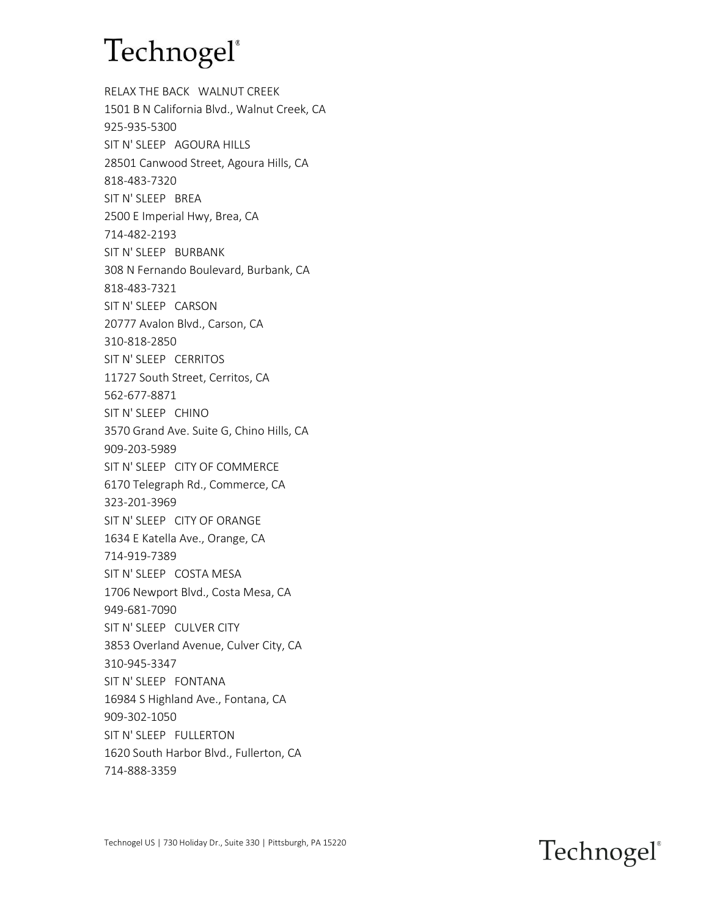RELAX THE BACK WALNUT CREEK 1501 B N California Blvd., Walnut Creek, CA 925-935-5300 SIT N' SLEEP AGOURA HILLS 28501 Canwood Street, Agoura Hills, CA 818-483-7320 SIT N' SLEEP BREA 2500 E Imperial Hwy, Brea, CA 714-482-2193 SIT N' SLEEP BURBANK 308 N Fernando Boulevard, Burbank, CA 818-483-7321 SIT N' SLEEP CARSON 20777 Avalon Blvd., Carson, CA 310-818-2850 SIT N' SLEEP CERRITOS 11727 South Street, Cerritos, CA 562-677-8871 SIT N' SLEEP CHINO 3570 Grand Ave. Suite G, Chino Hills, CA 909-203-5989 SIT N' SLEEP CITY OF COMMERCE 6170 Telegraph Rd., Commerce, CA 323-201-3969 SIT N' SLEEP CITY OF ORANGE 1634 E Katella Ave., Orange, CA 714-919-7389 SIT N' SLEEP COSTA MESA 1706 Newport Blvd., Costa Mesa, CA 949-681-7090 SIT N' SLEEP CULVER CITY 3853 Overland Avenue, Culver City, CA 310-945-3347 SIT N' SLEEP FONTANA 16984 S Highland Ave., Fontana, CA 909-302-1050 SIT N' SLEEP FULLERTON 1620 South Harbor Blvd., Fullerton, CA 714-888-3359

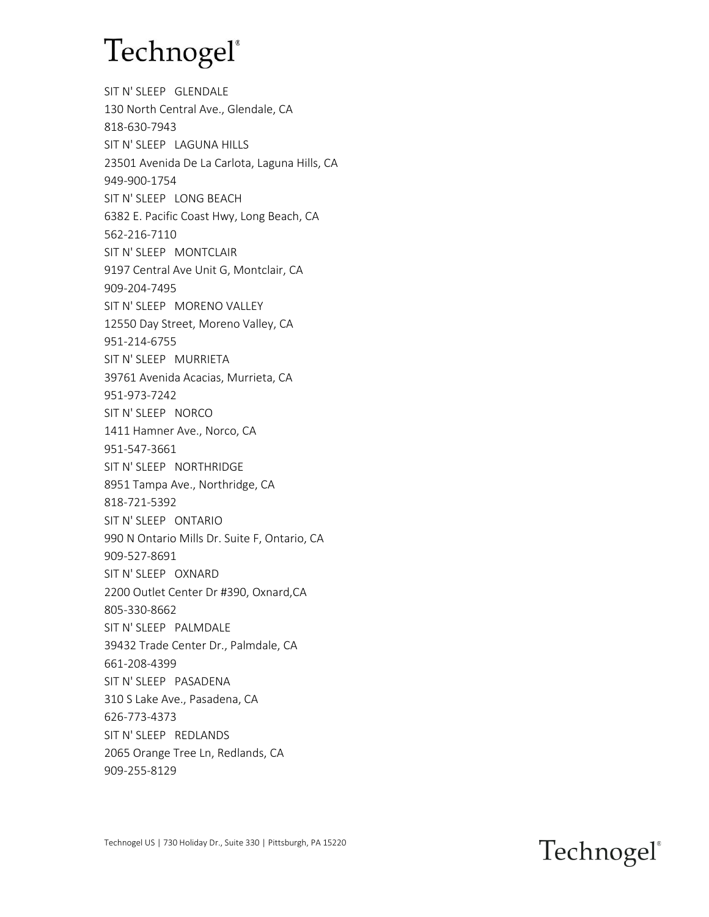SIT N' SLEEP GLENDALE 130 North Central Ave., Glendale, CA 818-630-7943 SIT N' SLEEP LAGUNA HILLS 23501 Avenida De La Carlota, Laguna Hills, CA 949-900-1754 SIT N' SLEEP LONG BEACH 6382 E. Pacific Coast Hwy, Long Beach, CA 562-216-7110 SIT N' SLEEP MONTCLAIR 9197 Central Ave Unit G, Montclair, CA 909-204-7495 SIT N' SLEEP MORENO VALLEY 12550 Day Street, Moreno Valley, CA 951-214-6755 SIT N' SLEEP MURRIETA 39761 Avenida Acacias, Murrieta, CA 951-973-7242 SIT N' SLEEP NORCO 1411 Hamner Ave., Norco, CA 951-547-3661 SIT N' SLEEP NORTHRIDGE 8951 Tampa Ave., Northridge, CA 818-721-5392 SIT N' SLEEP ONTARIO 990 N Ontario Mills Dr. Suite F, Ontario, CA 909-527-8691 SIT N' SLEEP OXNARD 2200 Outlet Center Dr #390, Oxnard,CA 805-330-8662 SIT N' SLEEP PALMDALE 39432 Trade Center Dr., Palmdale, CA 661-208-4399 SIT N' SLEEP PASADENA 310 S Lake Ave., Pasadena, CA 626-773-4373 SIT N' SLEEP REDLANDS 2065 Orange Tree Ln, Redlands, CA 909-255-8129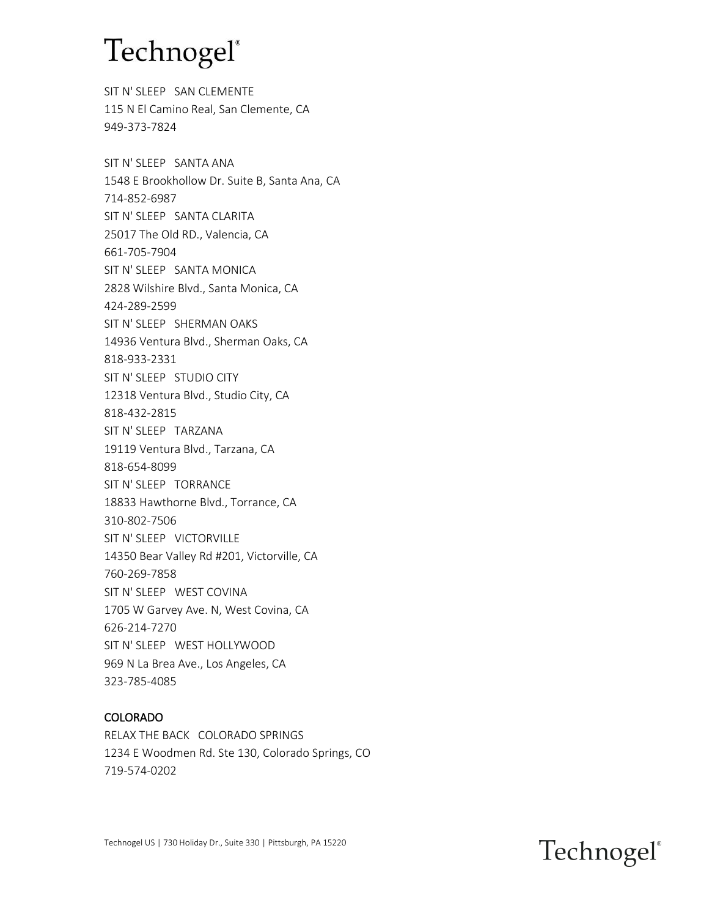SIT N' SLEEP SAN CLEMENTE 115 N El Camino Real, San Clemente, CA 949-373-7824

SIT N' SLEEP SANTA ANA 1548 E Brookhollow Dr. Suite B, Santa Ana, CA 714-852-6987 SIT N' SLEEP SANTA CLARITA 25017 The Old RD., Valencia, CA 661-705-7904 SIT N' SLEEP SANTA MONICA 2828 Wilshire Blvd., Santa Monica, CA 424-289-2599 SIT N' SLEEP SHERMAN OAKS 14936 Ventura Blvd., Sherman Oaks, CA 818-933-2331 SIT N' SLEEP STUDIO CITY 12318 Ventura Blvd., Studio City, CA 818-432-2815 SIT N' SLEEP TARZANA 19119 Ventura Blvd., Tarzana, CA 818-654-8099 SIT N' SLEEP TORRANCE 18833 Hawthorne Blvd., Torrance, CA 310-802-7506 SIT N' SLEEP VICTORVILLE 14350 Bear Valley Rd #201, Victorville, CA 760-269-7858 SIT N' SLEEP WEST COVINA 1705 W Garvey Ave. N, West Covina, CA 626-214-7270 SIT N' SLEEP WEST HOLLYWOOD 969 N La Brea Ave., Los Angeles, CA 323-785-4085

#### COLORADO

RELAX THE BACK COLORADO SPRINGS 1234 E Woodmen Rd. Ste 130, Colorado Springs, CO 719-574-0202



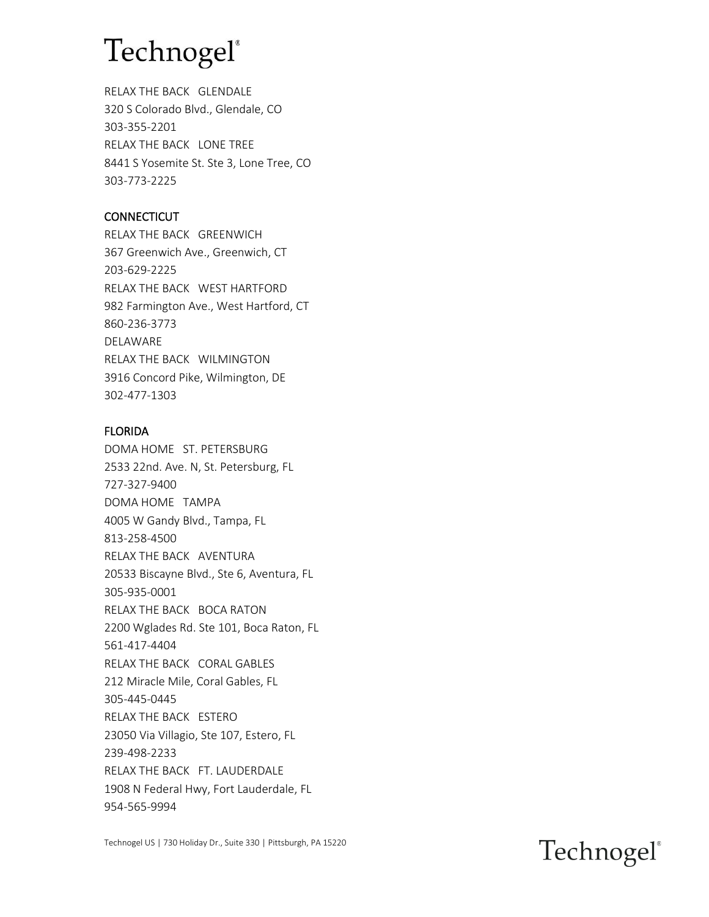RELAX THE BACK GLENDALE 320 S Colorado Blvd., Glendale, CO 303-355-2201 RELAX THE BACK LONE TREE 8441 S Yosemite St. Ste 3, Lone Tree, CO 303-773-2225

### **CONNECTICUT**

RELAX THE BACK GREENWICH 367 Greenwich Ave., Greenwich, CT 203-629-2225 RELAX THE BACK WEST HARTFORD 982 Farmington Ave., West Hartford, CT 860-236-3773 DELAWARE RELAX THE BACK WILMINGTON 3916 Concord Pike, Wilmington, DE 302-477-1303

### FLORIDA

DOMA HOME ST. PETERSBURG 2533 22nd. Ave. N, St. Petersburg, FL 727-327-9400 DOMA HOME TAMPA 4005 W Gandy Blvd., Tampa, FL 813-258-4500 RELAX THE BACK AVENTURA 20533 Biscayne Blvd., Ste 6, Aventura, FL 305-935-0001 RELAX THE BACK BOCA RATON 2200 Wglades Rd. Ste 101, Boca Raton, FL 561-417-4404 RELAX THE BACK CORAL GABLES 212 Miracle Mile, Coral Gables, FL 305-445-0445 RELAX THE BACK ESTERO 23050 Via Villagio, Ste 107, Estero, FL 239-498-2233 RELAX THE BACK FT. LAUDERDALE 1908 N Federal Hwy, Fort Lauderdale, FL 954-565-9994

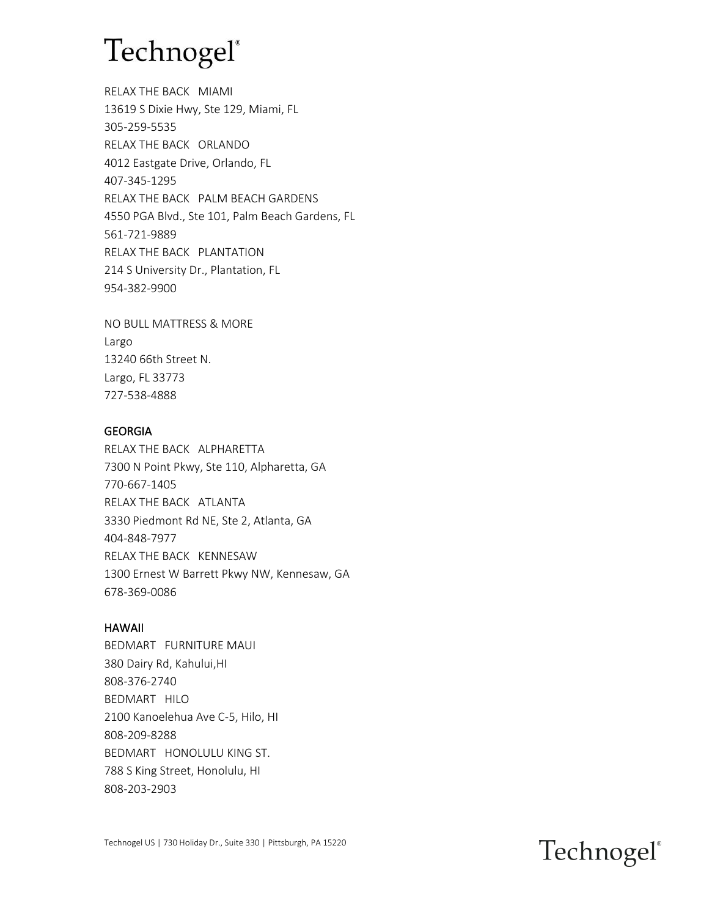RELAX THE BACK MIAMI 13619 S Dixie Hwy, Ste 129, Miami, FL 305-259-5535 RELAX THE BACK ORLANDO 4012 Eastgate Drive, Orlando, FL 407-345-1295 RELAX THE BACK PALM BEACH GARDENS 4550 PGA Blvd., Ste 101, Palm Beach Gardens, FL 561-721-9889 RELAX THE BACK PLANTATION 214 S University Dr., Plantation, FL 954-382-9900

NO BULL MATTRESS & MORE Largo 13240 66th Street N. Largo, FL 33773 727-538-4888

#### **GEORGIA**

RELAX THE BACK ALPHARETTA 7300 N Point Pkwy, Ste 110, Alpharetta, GA 770-667-1405 RELAX THE BACK ATLANTA 3330 Piedmont Rd NE, Ste 2, Atlanta, GA 404-848-7977 RELAX THE BACK KENNESAW 1300 Ernest W Barrett Pkwy NW, Kennesaw, GA 678-369-0086

#### HAWAII

BEDMART FURNITURE MAUI 380 Dairy Rd, Kahului,HI 808-376-2740 BEDMART HILO 2100 Kanoelehua Ave C-5, Hilo, HI 808-209-8288 BEDMART HONOLULU KING ST. 788 S King Street, Honolulu, HI 808-203-2903

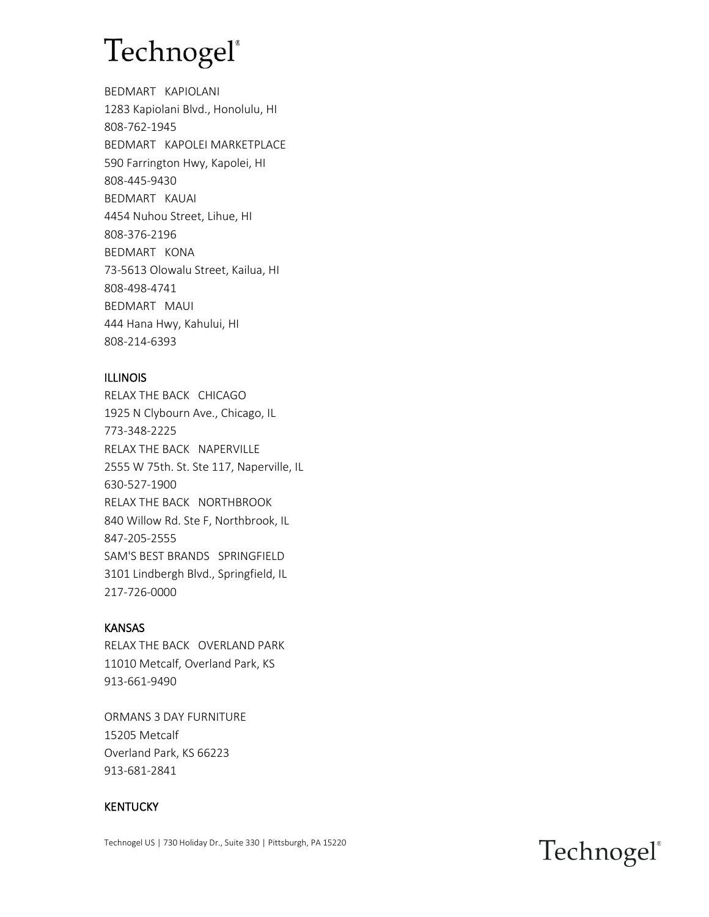BEDMART KAPIOLANI 1283 Kapiolani Blvd., Honolulu, HI 808-762-1945 BEDMART KAPOLEI MARKETPLACE 590 Farrington Hwy, Kapolei, HI 808-445-9430 BEDMART KAUAI 4454 Nuhou Street, Lihue, HI 808-376-2196 BEDMART KONA 73-5613 Olowalu Street, Kailua, HI 808-498-4741 BEDMART MAUI 444 Hana Hwy, Kahului, HI 808-214-6393

#### ILLINOIS

RELAX THE BACK CHICAGO 1925 N Clybourn Ave., Chicago, IL 773-348-2225 RELAX THE BACK NAPERVILLE 2555 W 75th. St. Ste 117, Naperville, IL 630-527-1900 RELAX THE BACK NORTHBROOK 840 Willow Rd. Ste F, Northbrook, IL 847-205-2555 SAM'S BEST BRANDS SPRINGFIELD 3101 Lindbergh Blvd., Springfield, IL 217-726-0000

### KANSAS

RELAX THE BACK OVERLAND PARK 11010 Metcalf, Overland Park, KS 913-661-9490

ORMANS 3 DAY FURNITURE 15205 Metcalf Overland Park, KS 66223 913-681-2841

#### **KENTUCKY**

Technogel US | 730 Holiday Dr., Suite 330 | Pittsburgh, PA 15220

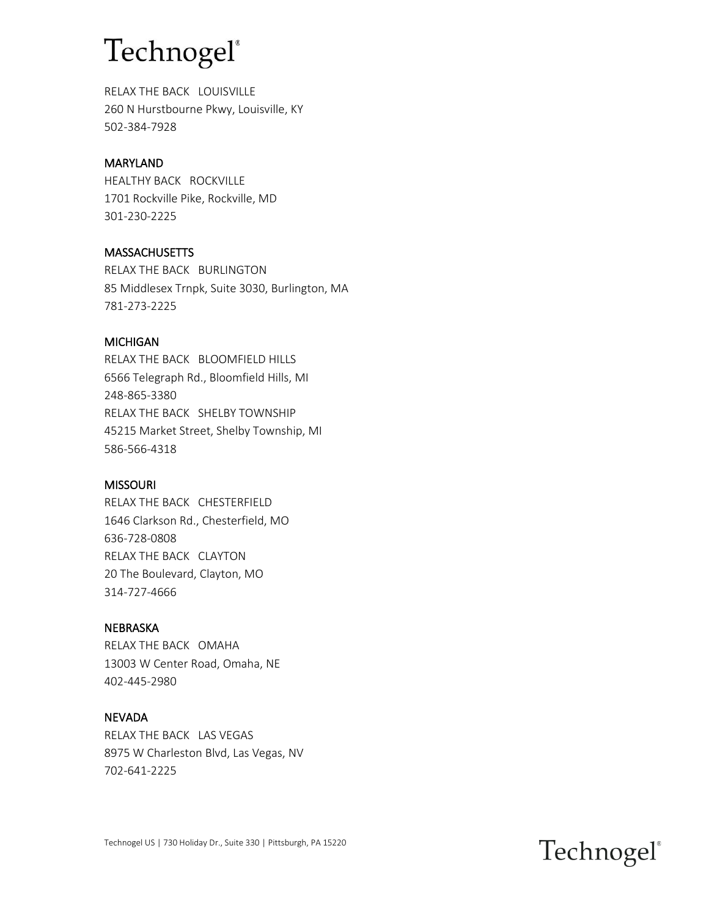RELAX THE BACK LOUISVILLE 260 N Hurstbourne Pkwy, Louisville, KY 502-384-7928

#### MARYLAND

HEALTHY BACK ROCKVILLE 1701 Rockville Pike, Rockville, MD 301-230-2225

#### **MASSACHUSETTS**

RELAX THE BACK BURLINGTON 85 Middlesex Trnpk, Suite 3030, Burlington, MA 781-273-2225

#### MICHIGAN

RELAX THE BACK BLOOMFIELD HILLS 6566 Telegraph Rd., Bloomfield Hills, MI 248-865-3380 RELAX THE BACK SHELBY TOWNSHIP 45215 Market Street, Shelby Township, MI 586-566-4318

#### MISSOURI

RELAX THE BACK CHESTERFIELD 1646 Clarkson Rd., Chesterfield, MO 636-728-0808 RELAX THE BACK CLAYTON 20 The Boulevard, Clayton, MO 314-727-4666

#### NEBRASKA

RELAX THE BACK OMAHA 13003 W Center Road, Omaha, NE 402-445-2980

#### NEVADA

RELAX THE BACK LAS VEGAS 8975 W Charleston Blvd, Las Vegas, NV 702-641-2225

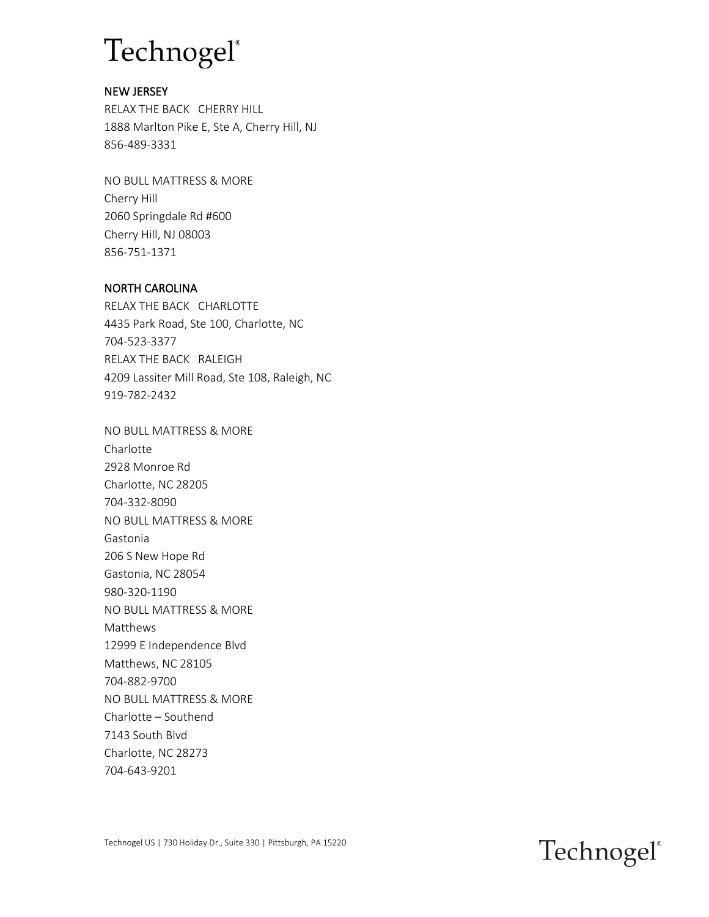### NEW JERSEY

RELAX THE BACK CHERRY HILL 1888 Marlton Pike E, Ste A, Cherry Hill, NJ 856-489-3331

NO BULL MATTRESS & MORE Cherry Hill 2060 Springdale Rd #600 Cherry Hill, NJ 08003 856-751-1371

### NORTH CAROLINA

RELAX THE BACK CHARLOTTE 4435 Park Road, Ste 100, Charlotte, NC 704-523-3377 RELAX THE BACK RALEIGH 4209 Lassiter Mill Road, Ste 108, Raleigh, NC 919-782-2432

NO BULL MATTRESS & MORE Charlotte 2928 Monroe Rd Charlotte, NC 28205 704-332-8090 NO BULL MATTRESS & MORE Gastonia 206 S New Hope Rd Gastonia, NC 28054 980-320-1190 NO BULL MATTRESS & MORE Matthews 12999 E Independence Blvd Matthews, NC 28105 704-882-9700 NO BULL MATTRESS & MORE Charlotte – Southend 7143 South Blvd Charlotte, NC 28273 704-643-9201

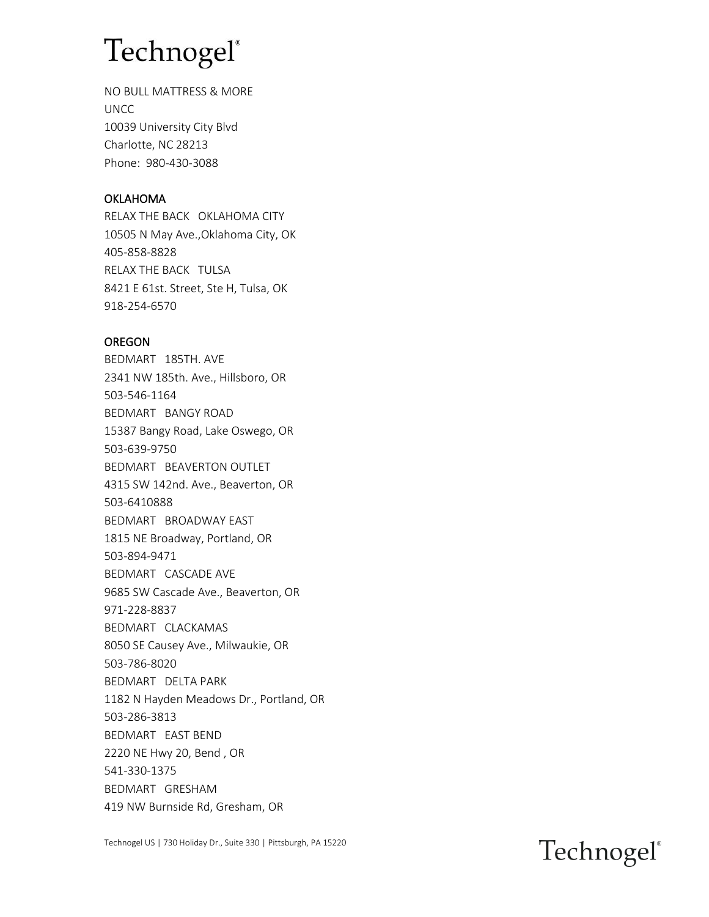NO BULL MATTRESS & MORE UNCC 10039 University City Blvd Charlotte, NC 28213 Phone: 980-430-3088

### OKLAHOMA

RELAX THE BACK OKLAHOMA CITY 10505 N May Ave.,Oklahoma City, OK 405-858-8828 RELAX THE BACK TULSA 8421 E 61st. Street, Ste H, Tulsa, OK 918-254-6570

#### OREGON

BEDMART 185TH. AVE 2341 NW 185th. Ave., Hillsboro, OR 503-546-1164 BEDMART BANGY ROAD 15387 Bangy Road, Lake Oswego, OR 503-639-9750 BEDMART BEAVERTON OUTLET 4315 SW 142nd. Ave., Beaverton, OR 503-6410888 BEDMART BROADWAY EAST 1815 NE Broadway, Portland, OR 503-894-9471 BEDMART CASCADE AVE 9685 SW Cascade Ave., Beaverton, OR 971-228-8837 BEDMART CLACKAMAS 8050 SE Causey Ave., Milwaukie, OR 503-786-8020 BEDMART DELTA PARK 1182 N Hayden Meadows Dr., Portland, OR 503-286-3813 BEDMART EAST BEND 2220 NE Hwy 20, Bend , OR 541-330-1375 BEDMART GRESHAM 419 NW Burnside Rd, Gresham, OR

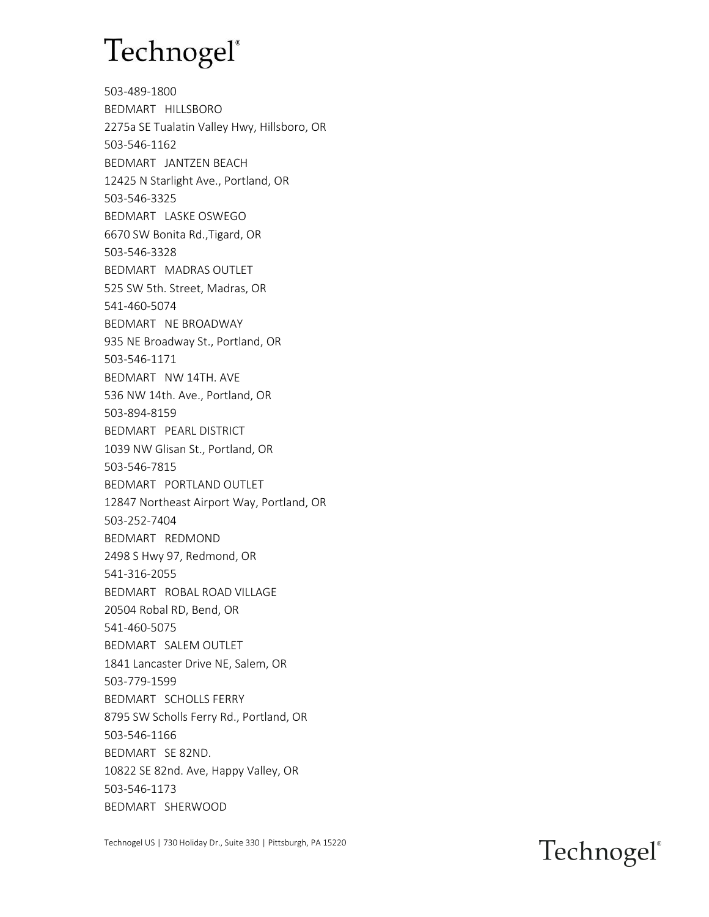503-489-1800 BEDMART HILLSBORO 2275a SE Tualatin Valley Hwy, Hillsboro, OR 503-546-1162 BEDMART JANTZEN BEACH 12425 N Starlight Ave., Portland, OR 503-546-3325 BEDMART LASKE OSWEGO 6670 SW Bonita Rd.,Tigard, OR 503-546-3328 BEDMART MADRAS OUTLET 525 SW 5th. Street, Madras, OR 541-460-5074 BEDMART NE BROADWAY 935 NE Broadway St., Portland, OR 503-546-1171 BEDMART NW 14TH. AVE 536 NW 14th. Ave., Portland, OR 503-894-8159 BEDMART PEARL DISTRICT 1039 NW Glisan St., Portland, OR 503-546-7815 BEDMART PORTLAND OUTLET 12847 Northeast Airport Way, Portland, OR 503-252-7404 BEDMART REDMOND 2498 S Hwy 97, Redmond, OR 541-316-2055 BEDMART ROBAL ROAD VILLAGE 20504 Robal RD, Bend, OR 541-460-5075 BEDMART SALEM OUTLET 1841 Lancaster Drive NE, Salem, OR 503-779-1599 BEDMART SCHOLLS FERRY 8795 SW Scholls Ferry Rd., Portland, OR 503-546-1166 BEDMART SE 82ND. 10822 SE 82nd. Ave, Happy Valley, OR 503-546-1173 BEDMART SHERWOOD

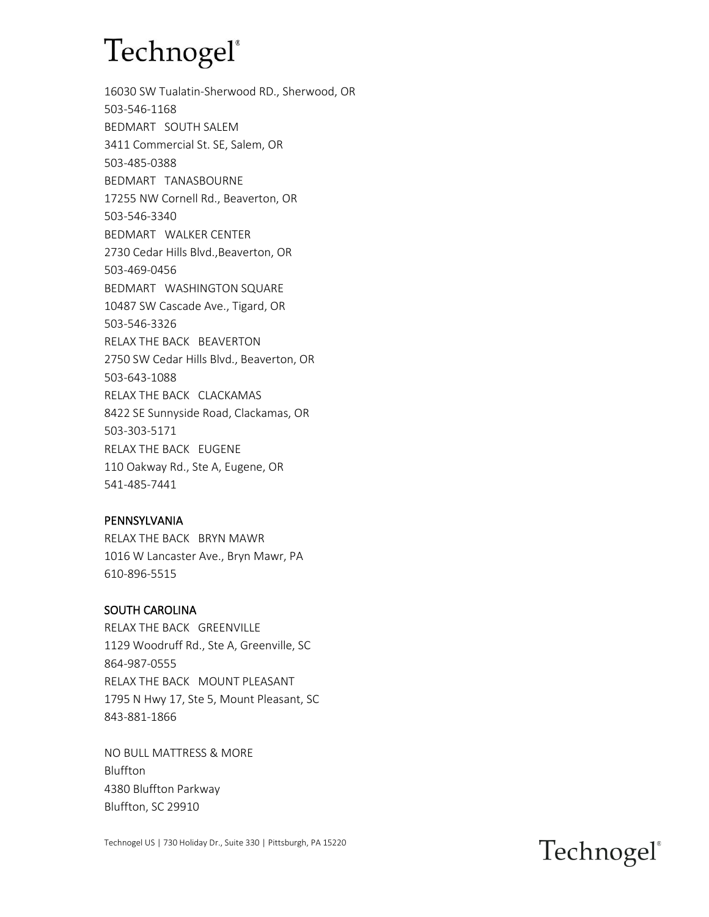16030 SW Tualatin-Sherwood RD., Sherwood, OR 503-546-1168 BEDMART SOUTH SALEM 3411 Commercial St. SE, Salem, OR 503-485-0388 BEDMART TANASBOURNE 17255 NW Cornell Rd., Beaverton, OR 503-546-3340 BEDMART WALKER CENTER 2730 Cedar Hills Blvd.,Beaverton, OR 503-469-0456 BEDMART WASHINGTON SQUARE 10487 SW Cascade Ave., Tigard, OR 503-546-3326 RELAX THE BACK BEAVERTON 2750 SW Cedar Hills Blvd., Beaverton, OR 503-643-1088 RELAX THE BACK CLACKAMAS 8422 SE Sunnyside Road, Clackamas, OR 503-303-5171 RELAX THE BACK EUGENE 110 Oakway Rd., Ste A, Eugene, OR 541-485-7441

#### PENNSYLVANIA

RELAX THE BACK BRYN MAWR 1016 W Lancaster Ave., Bryn Mawr, PA 610-896-5515

#### SOUTH CAROLINA

RELAX THE BACK GREENVILLE 1129 Woodruff Rd., Ste A, Greenville, SC 864-987-0555 RELAX THE BACK MOUNT PLEASANT 1795 N Hwy 17, Ste 5, Mount Pleasant, SC 843-881-1866

NO BULL MATTRESS & MORE Bluffton 4380 Bluffton Parkway Bluffton, SC 29910

Technogel US | 730 Holiday Dr., Suite 330 | Pittsburgh, PA 15220

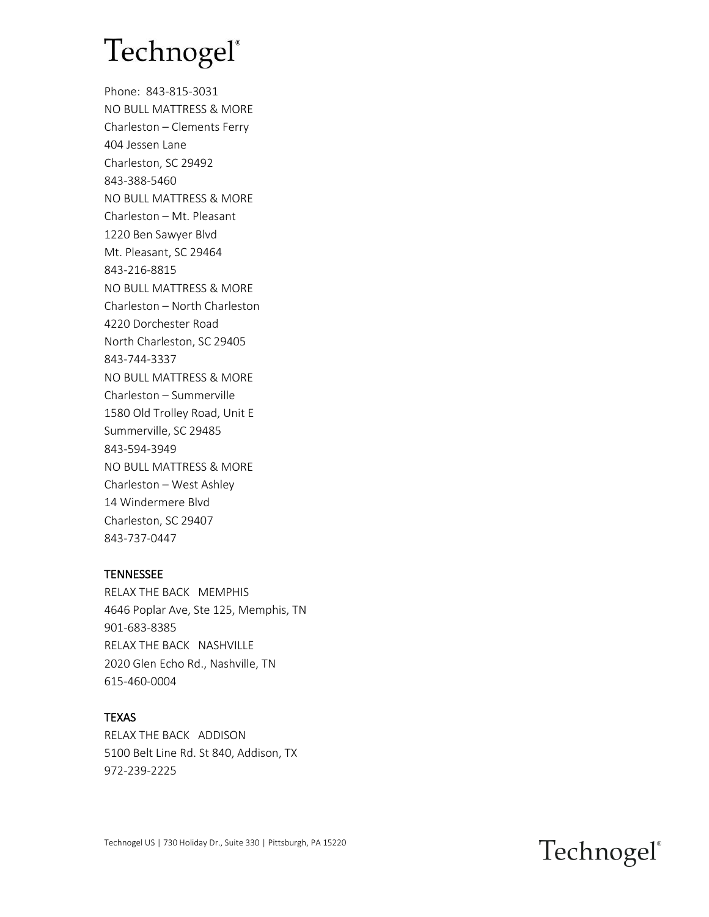Phone: 843-815-3031 NO BULL MATTRESS & MORE Charleston – Clements Ferry 404 Jessen Lane Charleston, SC 29492 843-388-5460 NO BULL MATTRESS & MORE Charleston – Mt. Pleasant 1220 Ben Sawyer Blvd Mt. Pleasant, SC 29464 843-216-8815 NO BULL MATTRESS & MORE Charleston – North Charleston 4220 Dorchester Road North Charleston, SC 29405 843-744-3337 NO BULL MATTRESS & MORE Charleston – Summerville 1580 Old Trolley Road, Unit E Summerville, SC 29485 843-594-3949 NO BULL MATTRESS & MORE Charleston – West Ashley 14 Windermere Blvd Charleston, SC 29407 843-737-0447

### **TENNESSEE**

RELAX THE BACK MEMPHIS 4646 Poplar Ave, Ste 125, Memphis, TN 901-683-8385 RELAX THE BACK NASHVILLE 2020 Glen Echo Rd., Nashville, TN 615-460-0004

#### **TEXAS**

RELAX THE BACK ADDISON 5100 Belt Line Rd. St 840, Addison, TX 972-239-2225

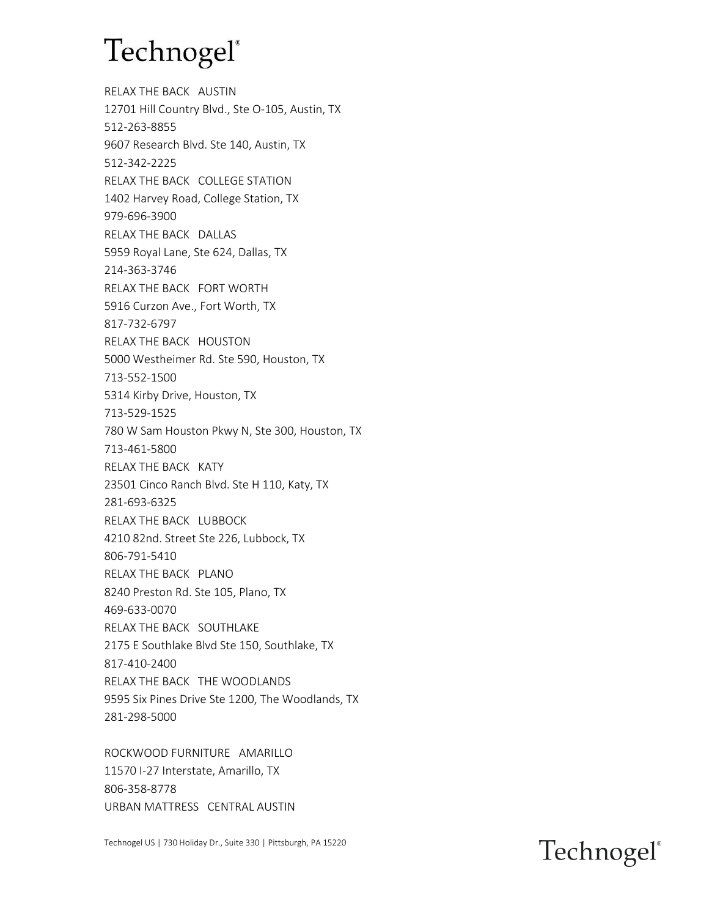RELAX THE BACK AUSTIN 12701 Hill Country Blvd., Ste O-105, Austin, TX 512-263-8855 9607 Research Blvd. Ste 140, Austin, TX 512-342-2225 RELAX THE BACK COLLEGE STATION 1402 Harvey Road, College Station, TX 979-696-3900 RELAX THE BACK DALLAS 5959 Royal Lane, Ste 624, Dallas, TX 214-363-3746 RELAX THE BACK FORT WORTH 5916 Curzon Ave., Fort Worth, TX 817-732-6797 RELAX THE BACK HOUSTON 5000 Westheimer Rd. Ste 590, Houston, TX 713-552-1500 5314 Kirby Drive, Houston, TX 713-529-1525 780 W Sam Houston Pkwy N, Ste 300, Houston, TX 713-461-5800 RELAX THE BACK KATY 23501 Cinco Ranch Blvd. Ste H 110, Katy, TX 281-693-6325 RELAX THE BACK LUBBOCK 4210 82nd. Street Ste 226, Lubbock, TX 806-791-5410 RELAX THE BACK PLANO 8240 Preston Rd. Ste 105, Plano, TX 469-633-0070 RELAX THE BACK SOUTHLAKE 2175 E Southlake Blvd Ste 150, Southlake, TX 817-410-2400 RELAX THE BACK THE WOODLANDS 9595 Six Pines Drive Ste 1200, The Woodlands, TX 281-298-5000

ROCKWOOD FURNITURE AMARILLO 11570 I-27 Interstate, Amarillo, TX 806-358-8778 URBAN MATTRESS CENTRAL AUSTIN